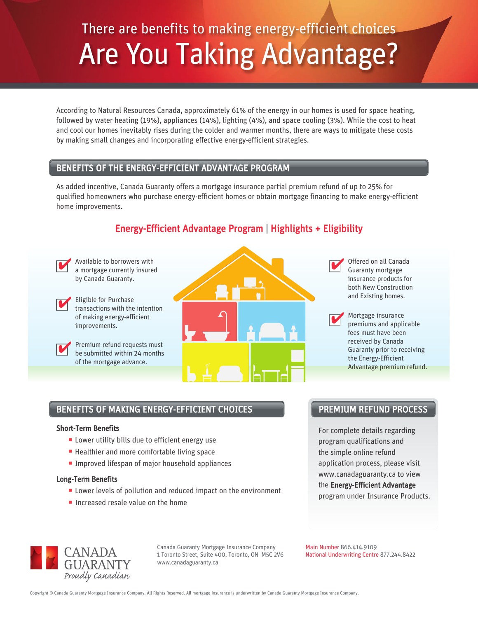# There are benefits to making energy-efficient choices Are You Taking Advantage?

According to Natural Resources Canada, approximately 61% of the energy in our homes is used for space heating, followed by water heating (19%), appliances (14%), lighting (4%), and space cooling (3%). While the cost to heat and cool our homes inevitably rises during the colder and warmer months, there are ways to mitigate these costs by making small changes and incorporating effective energy-efficient strategies.

### BENEFITS OF THE ENERGY-EFFICIENT ADVANTAGE PROGRAM

As added incentive, Canada Guaranty offers a mortgage insurance partial premium refund of up to 25% for qualified homeowners who purchase energy-efficient homes or obtain mortgage financing to make energy-efficient home improvements.

## Available to borrowers with a mortgage currently insured a mortgage currently insured by Canada Guaranty. Eligible for Purchase transactions with the intention of making energy-efficient improvements. Premium refund requests must be submitted within 24 months of the mortgage advance.

## Energy-Efficient Advantage Program | Highlights + Eligibility

Guaranty mortgage insurance products for both New Construction and Existing homes. 4

Mortgage insurance premiums and applicable fees must have been received by Canada Guaranty prior to receiving the Energy-Efficient Advantage premium refund. 4

## BENEFITS OF MAKING ENERGY-EFFICIENT CHOICES

### Short-Term Benefits

4

4

- **Lower utility bills due to efficient energy use**
- **Healthier and more comfortable living space**
- **Improved lifespan of major household appliances**

### Long-Term Benefits

- **Lower levels of pollution and reduced impact on the environment**
- **Increased resale value on the home**

## PREMIUM REFUND PROCESS

For complete details regarding program qualifications and the simple online refund application process, please visit www.canadaguaranty.ca to view the Energy-Efficient Advantage program under Insurance Products.



Canada Guaranty Mortgage Insurance Company 1 Toronto Street, Suite 400, Toronto, ON M5C 2V6 www.canadaguaranty.ca

Main Number 866.414.9109 National Underwriting Centre 877.244.8422

Copyright © Canada Guaranty Mortgage Insurance Company. All Rights Reserved. All mortgage insurance is underwritten by Canada Guaranty Mortgage Insurance Company.